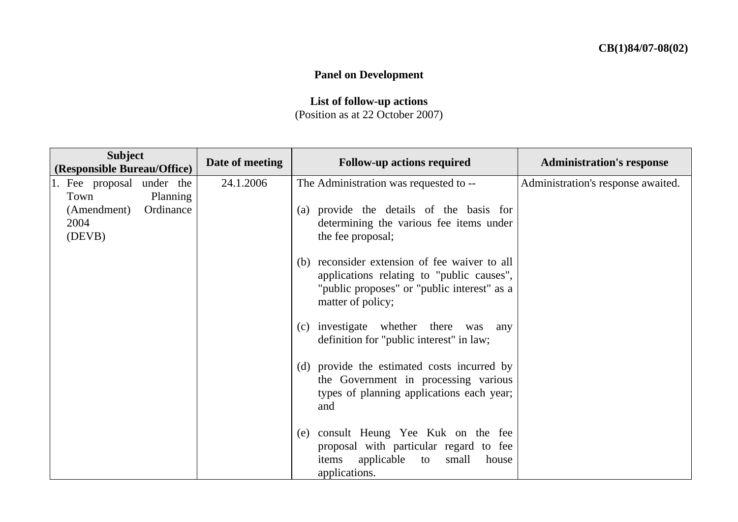## **Panel on Development**

## **List of follow-up actions**

(Position as at 22 October 2007)

| <b>Subject</b><br>(Responsible Bureau/Office) | Date of meeting | <b>Follow-up actions required</b>                                                                                                                              | <b>Administration's response</b>   |
|-----------------------------------------------|-----------------|----------------------------------------------------------------------------------------------------------------------------------------------------------------|------------------------------------|
| 1. Fee proposal under the<br>Town<br>Planning | 24.1.2006       | The Administration was requested to --                                                                                                                         | Administration's response awaited. |
| Ordinance<br>(Amendment)<br>2004<br>(DEVB)    |                 | (a) provide the details of the basis for<br>determining the various fee items under<br>the fee proposal;                                                       |                                    |
|                                               |                 | (b) reconsider extension of fee waiver to all<br>applications relating to "public causes",<br>"public proposes" or "public interest" as a<br>matter of policy; |                                    |
|                                               |                 | (c) investigate whether there was any<br>definition for "public interest" in law;                                                                              |                                    |
|                                               |                 | (d) provide the estimated costs incurred by<br>the Government in processing various<br>types of planning applications each year;<br>and                        |                                    |
|                                               |                 | (e) consult Heung Yee Kuk on the fee<br>proposal with particular regard to fee<br>items applicable to<br>small<br>house<br>applications.                       |                                    |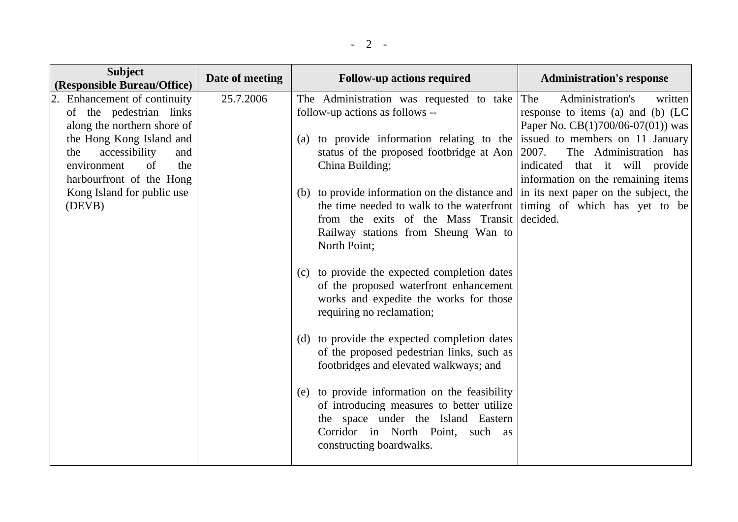| <b>Subject</b><br>(Responsible Bureau/Office)                                                                                                                                                             | Date of meeting | <b>Follow-up actions required</b>                                                                                                                                                                                                                                             | <b>Administration's response</b>                                                                                                                                                                                |
|-----------------------------------------------------------------------------------------------------------------------------------------------------------------------------------------------------------|-----------------|-------------------------------------------------------------------------------------------------------------------------------------------------------------------------------------------------------------------------------------------------------------------------------|-----------------------------------------------------------------------------------------------------------------------------------------------------------------------------------------------------------------|
| 2. Enhancement of continuity<br>of the pedestrian links<br>along the northern shore of<br>the Hong Kong Island and<br>accessibility<br>the<br>and<br>environment<br>of<br>the<br>harbourfront of the Hong | 25.7.2006       | The Administration was requested to take<br>follow-up actions as follows --<br>(a) to provide information relating to the issued to members on 11 January<br>status of the proposed footbridge at Aon 2007.<br>China Building;                                                | The<br>Administration's<br>written<br>response to items (a) and (b) (LC<br>Paper No. $CB(1)700/06-07(01)$ was<br>The Administration has<br>indicated that it will provide<br>information on the remaining items |
| Kong Island for public use<br>(DEVB)                                                                                                                                                                      |                 | (b) to provide information on the distance and $\vert$ in its next paper on the subject, the<br>the time needed to walk to the waterfront timing of which has yet to be<br>from the exits of the Mass Transit decided.<br>Railway stations from Sheung Wan to<br>North Point; |                                                                                                                                                                                                                 |
|                                                                                                                                                                                                           |                 | (c) to provide the expected completion dates<br>of the proposed waterfront enhancement<br>works and expedite the works for those<br>requiring no reclamation;                                                                                                                 |                                                                                                                                                                                                                 |
|                                                                                                                                                                                                           |                 | (d) to provide the expected completion dates<br>of the proposed pedestrian links, such as<br>footbridges and elevated walkways; and                                                                                                                                           |                                                                                                                                                                                                                 |
|                                                                                                                                                                                                           |                 | (e) to provide information on the feasibility<br>of introducing measures to better utilize<br>the space under the Island Eastern<br>Corridor in North Point, such as<br>constructing boardwalks.                                                                              |                                                                                                                                                                                                                 |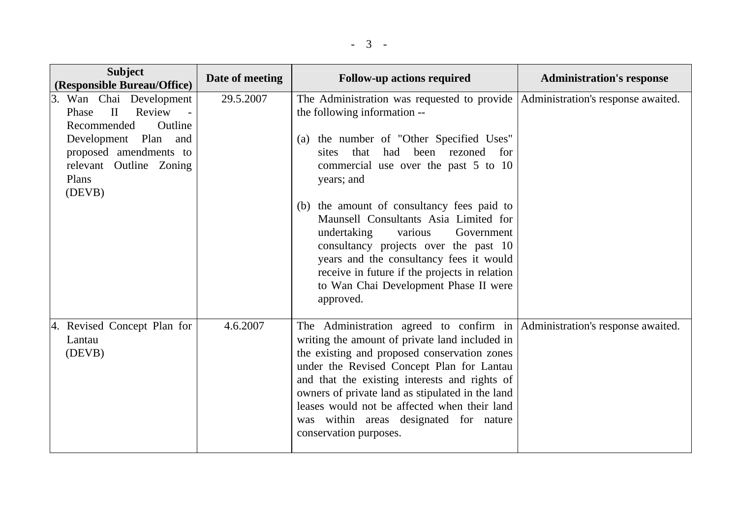| <b>Subject</b><br>(Responsible Bureau/Office)                                                                                                                                           | Date of meeting | <b>Follow-up actions required</b>                                                                                                                                                                                                                                                                                                                                                                                                                                                                                                                                                      | <b>Administration's response</b> |
|-----------------------------------------------------------------------------------------------------------------------------------------------------------------------------------------|-----------------|----------------------------------------------------------------------------------------------------------------------------------------------------------------------------------------------------------------------------------------------------------------------------------------------------------------------------------------------------------------------------------------------------------------------------------------------------------------------------------------------------------------------------------------------------------------------------------------|----------------------------------|
| 3. Wan Chai Development<br>Review<br>$\mathbf{I}$<br>Phase<br>Outline<br>Recommended<br>Development Plan<br>and<br>proposed amendments to<br>relevant Outline Zoning<br>Plans<br>(DEVB) | 29.5.2007       | The Administration was requested to provide Administration's response awaited.<br>the following information --<br>(a) the number of "Other Specified Uses"<br>had<br>been rezoned for<br>that<br>sites<br>commercial use over the past 5 to 10<br>years; and<br>(b) the amount of consultancy fees paid to<br>Maunsell Consultants Asia Limited for<br>undertaking<br>various<br>Government<br>consultancy projects over the past 10<br>years and the consultancy fees it would<br>receive in future if the projects in relation<br>to Wan Chai Development Phase II were<br>approved. |                                  |
| 4. Revised Concept Plan for<br>Lantau<br>(DEVB)                                                                                                                                         | 4.6.2007        | The Administration agreed to confirm in Administration's response awaited.<br>writing the amount of private land included in<br>the existing and proposed conservation zones<br>under the Revised Concept Plan for Lantau<br>and that the existing interests and rights of<br>owners of private land as stipulated in the land<br>leases would not be affected when their land<br>was within areas designated for nature<br>conservation purposes.                                                                                                                                     |                                  |